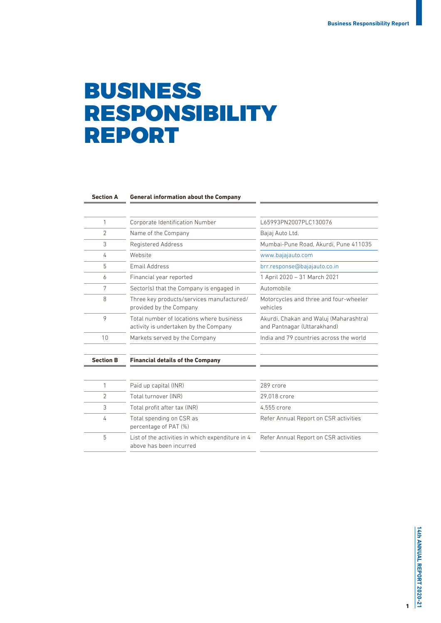# BUSINESS RESPONSIBILITY REPORT

| <b>Section A</b> |  |
|------------------|--|
|                  |  |

#### **General information about the Company**

| <b>Section B</b> | <b>Financial details of the Company</b>                                           |                                                                       |  |  |
|------------------|-----------------------------------------------------------------------------------|-----------------------------------------------------------------------|--|--|
| 10               | Markets served by the Company                                                     | India and 79 countries across the world                               |  |  |
| 9                | Total number of locations where business<br>activity is undertaken by the Company | Akurdi, Chakan and Waluj (Maharashtra)<br>and Pantnagar (Uttarakhand) |  |  |
| 8                | Three key products/services manufactured/<br>provided by the Company              | Motorcycles and three and four-wheeler<br>vehicles                    |  |  |
| 7                | Sector(s) that the Company is engaged in                                          | Automobile                                                            |  |  |
| 6                | Financial year reported                                                           | 1 April 2020 – 31 March 2021                                          |  |  |
| 5                | Email Address                                                                     | brr.response@bajajauto.co.in                                          |  |  |
| 4                | Website                                                                           | www.bajajauto.com                                                     |  |  |
| 3                | Registered Address                                                                | Mumbai-Pune Road, Akurdi, Pune 411035                                 |  |  |
| $\overline{2}$   | Name of the Company                                                               | Bajaj Auto Ltd.                                                       |  |  |
|                  | Corporate Identification Number                                                   | L65993PN2007PLC130076                                                 |  |  |

|   | Paid up capital (INR)                                                       | 289 crore                             |
|---|-----------------------------------------------------------------------------|---------------------------------------|
| 2 | Total turnover (INR)                                                        | 29.018 crore                          |
| 3 | Total profit after tax (INR)                                                | 4.555 crore                           |
| 4 | Total spending on CSR as<br>percentage of PAT (%)                           | Refer Annual Report on CSR activities |
| 5 | List of the activities in which expenditure in 4<br>above has been incurred | Refer Annual Report on CSR activities |

1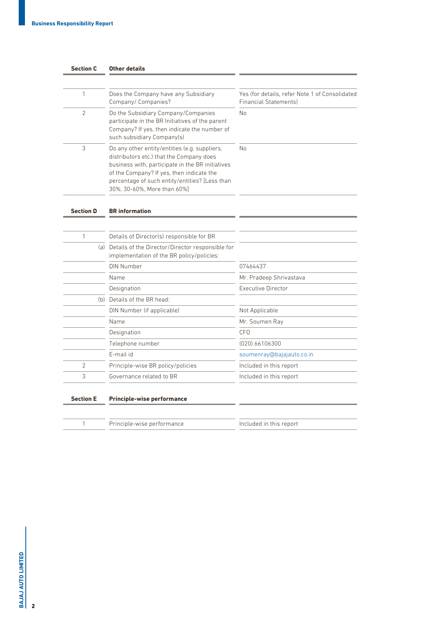| <b>Section C</b> | Other details                                                                                                                                                                                                                                                               |                                                                                |  |  |
|------------------|-----------------------------------------------------------------------------------------------------------------------------------------------------------------------------------------------------------------------------------------------------------------------------|--------------------------------------------------------------------------------|--|--|
|                  |                                                                                                                                                                                                                                                                             |                                                                                |  |  |
| 1                | Does the Company have any Subsidiary<br>Company/ Companies?                                                                                                                                                                                                                 | Yes (for details, refer Note 1 of Consolidated<br><b>Financial Statements)</b> |  |  |
| $\overline{2}$   | Do the Subsidiary Company/Companies<br>participate in the BR Initiatives of the parent<br>Company? If yes, then indicate the number of<br>such subsidiary Company(s)                                                                                                        | <b>No</b>                                                                      |  |  |
| 3                | Do any other entity/entities (e.g. suppliers,<br>distributors etc.) that the Company does<br>business with, participate in the BR initiatives<br>of the Company? If yes, then indicate the<br>percentage of such entity/entities? [Less than<br>30%, 30-60%, More than 60%] | No                                                                             |  |  |
| <b>Section D</b> | <b>BR</b> information                                                                                                                                                                                                                                                       |                                                                                |  |  |
| 1                | Details of Director(s) responsible for BR                                                                                                                                                                                                                                   |                                                                                |  |  |
|                  | (a) Details of the Director/Director responsible for<br>implementation of the BR policy/policies:                                                                                                                                                                           |                                                                                |  |  |
|                  | DIN Number                                                                                                                                                                                                                                                                  | 07464437                                                                       |  |  |
|                  | Name                                                                                                                                                                                                                                                                        | Mr. Pradeep Shrivastava                                                        |  |  |
|                  | Designation                                                                                                                                                                                                                                                                 | Executive Director                                                             |  |  |
|                  | (b) Details of the BR head:                                                                                                                                                                                                                                                 |                                                                                |  |  |
|                  | DIN Number (if applicable)                                                                                                                                                                                                                                                  | Not Applicable                                                                 |  |  |
|                  | Name                                                                                                                                                                                                                                                                        | Mr. Soumen Ray                                                                 |  |  |
|                  | Designation                                                                                                                                                                                                                                                                 | CF <sub>0</sub>                                                                |  |  |
|                  | Telephone number                                                                                                                                                                                                                                                            | (020) 66106300                                                                 |  |  |
|                  | E-mail id                                                                                                                                                                                                                                                                   | soumenray@bajajauto.co.in                                                      |  |  |
| $\overline{2}$   | Principle-wise BR policy/policies                                                                                                                                                                                                                                           | Included in this report                                                        |  |  |
| 3                | Governance related to BR                                                                                                                                                                                                                                                    | Included in this report                                                        |  |  |

### **Section E Principle-wise performance**

1 Principle-wise performance **Included** in this report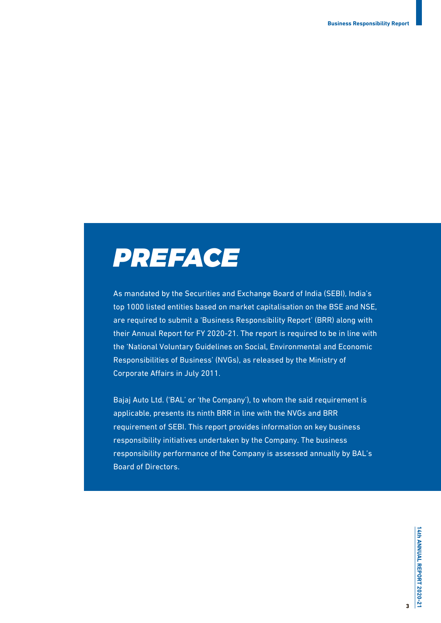

As mandated by the Securities and Exchange Board of India (SEBI), India's top 1000 listed entities based on market capitalisation on the BSE and NSE, are required to submit a 'Business Responsibility Report' (BRR) along with their Annual Report for FY 2020-21. The report is required to be in line with the 'National Voluntary Guidelines on Social, Environmental and Economic Responsibilities of Business' (NVGs), as released by the Ministry of Corporate Affairs in July 2011.

Bajaj Auto Ltd. ('BAL' or 'the Company'), to whom the said requirement is applicable, presents its ninth BRR in line with the NVGs and BRR requirement of SEBI. This report provides information on key business responsibility initiatives undertaken by the Company. The business responsibility performance of the Company is assessed annually by BAL's Board of Directors.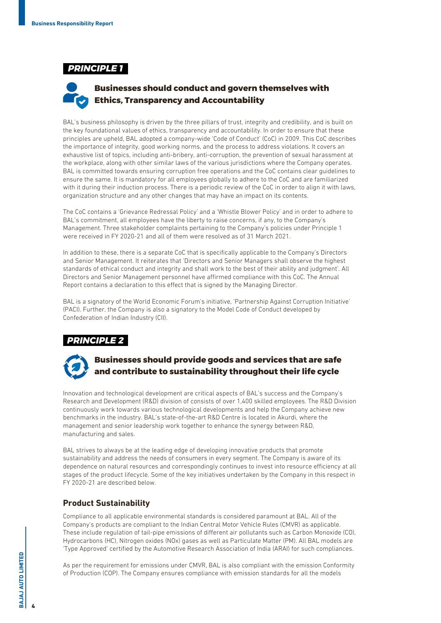### *PRINCIPLE 1*

## **Businesses should conduct and govern themselves with Ethics, Transparency and Accountability**

BAL's business philosophy is driven by the three pillars of trust, integrity and credibility, and is built on the key foundational values of ethics, transparency and accountability. In order to ensure that these principles are upheld, BAL adopted a company-wide 'Code of Conduct' (CoC) in 2009. This CoC describes the importance of integrity, good working norms, and the process to address violations. It covers an exhaustive list of topics, including anti-bribery, anti-corruption, the prevention of sexual harassment at the workplace, along with other similar laws of the various jurisdictions where the Company operates. BAL is committed towards ensuring corruption free operations and the CoC contains clear guidelines to ensure the same. It is mandatory for all employees globally to adhere to the CoC and are familiarized with it during their induction process. There is a periodic review of the CoC in order to align it with laws, organization structure and any other changes that may have an impact on its contents.

The CoC contains a 'Grievance Redressal Policy' and a 'Whistle Blower Policy' and in order to adhere to BAL's commitment, all employees have the liberty to raise concerns, if any, to the Company's Management. Three stakeholder complaints pertaining to the Company's policies under Principle 1 were received in FY 2020-21 and all of them were resolved as of 31 March 2021.

In addition to these, there is a separate CoC that is specifically applicable to the Company's Directors and Senior Management. It reiterates that 'Directors and Senior Managers shall observe the highest standards of ethical conduct and integrity and shall work to the best of their ability and judgment'. All Directors and Senior Management personnel have affirmed compliance with this CoC. The Annual Report contains a declaration to this effect that is signed by the Managing Director.

BAL is a signatory of the World Economic Forum's initiative, 'Partnership Against Corruption Initiative' (PACI). Further, the Company is also a signatory to the Model Code of Conduct developed by Confederation of Indian Industry (CII).

## *PRINCIPLE 2*



## **Businesses should provide goods and services that are safe and contribute to sustainability throughout their life cycle**

Innovation and technological development are critical aspects of BAL's success and the Company's Research and Development (R&D) division of consists of over 1,400 skilled employees. The R&D Division continuously work towards various technological developments and help the Company achieve new benchmarks in the industry. BAL's state-of-the-art R&D Centre is located in Akurdi, where the management and senior leadership work together to enhance the synergy between R&D, manufacturing and sales.

BAL strives to always be at the leading edge of developing innovative products that promote sustainability and address the needs of consumers in every segment. The Company is aware of its dependence on natural resources and correspondingly continues to invest into resource efficiency at all stages of the product lifecycle. Some of the key initiatives undertaken by the Company in this respect in FY 2020-21 are described below.

### **Product Sustainability**

Compliance to all applicable environmental standards is considered paramount at BAL. All of the Company's products are compliant to the Indian Central Motor Vehicle Rules (CMVR) as applicable. These include regulation of tail-pipe emissions of different air pollutants such as Carbon Monoxide (CO), Hydrocarbons (HC), Nitrogen oxides (NOx) gases as well as Particulate Matter (PM). All BAL models are 'Type Approved' certified by the Automotive Research Association of India (ARAI) for such compliances.

As per the requirement for emissions under CMVR, BAL is also compliant with the emission Conformity of Production (COP). The Company ensures compliance with emission standards for all the models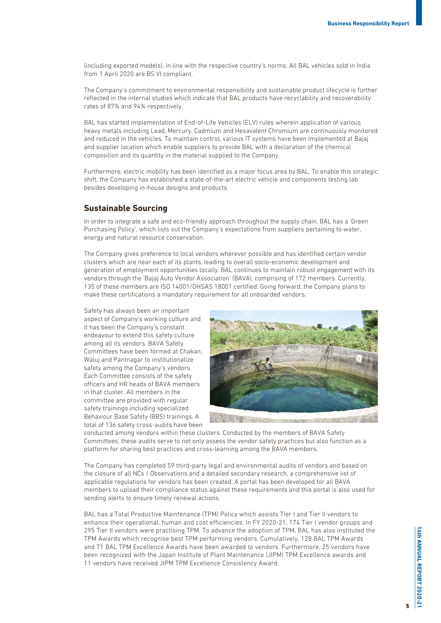(including exported models), in line with the respective country's norms. All BAL vehicles sold in India from 1 April 2020 are BS VI compliant.

The Company's commitment to environmental responsibility and sustainable product lifecycle is further reflected in the internal studies which indicate that BAL products have recyclability and recoverability rates of 87% and 94% respectively.

BAL has started implementation of End-of-Life Vehicles (ELV) rules wherein application of various heavy metals including Lead, Mercury, Cadmium and Hexavalent Chromium are continuously monitored and reduced in the vehicles. To maintain control, various IT systems have been implemented at Bajaj and supplier location which enable suppliers to provide BAL with a declaration of the chemical composition and its quantity in the material supplied to the Company.

Furthermore, electric mobility has been identified as a major focus area by BAL. To enable this strategic shift, the Company has established a state-of-the-art electric vehicle and components testing lab besides developing in-house designs and products

### **Sustainable Sourcing**

In order to integrate a safe and eco-friendly approach throughout the supply chain, BAL has a 'Green Purchasing Policy', which lists out the Company's expectations from suppliers pertaining to water, energy and natural resource conservation.

The Company gives preference to local vendors wherever possible and has identified certain vendor clusters which are near each of its plants, leading to overall socio-economic development and generation of employment opportunities locally. BAL continues to maintain robust engagement with its vendors through the 'Bajaj Auto Vendor Association' (BAVA), comprising of 172 members. Currently, 135 of these members are ISO 14001/OHSAS 18001 certified. Going forward, the Company plans to make these certifications a mandatory requirement for all onboarded vendors.

Safety has always been an important aspect of Company's working culture and it has been the Company's constant endeavour to extend this safety culture among all its vendors. BAVA Safety Committees have been formed at Chakan, Waluj and Pantnagar to institutionalize safety among the Company's vendors. Each Committee consists of the safety officers and HR heads of BAVA members in that cluster. All members in the committee are provided with regular safety trainings including specialized Behaviour Base Safety (BBS) trainings. A total of 136 safety cross-audits have been



conducted among vendors within these clusters. Conducted by the members of BAVA Safety Committees, these audits serve to not only assess the vendor safety practices but also function as a platform for sharing best practices and cross-learning among the BAVA members.

The Company has completed 59 third-party legal and environmental audits of vendors and based on the closure of all NCs / Observations and a detailed secondary research, a comprehensive list of applicable regulations for vendors has been created. A portal has been developed for all BAVA members to upload their compliance status against these requirements and this portal is also used for sending alerts to ensure timely renewal actions.

BAL has a Total Productive Maintenance (TPM) Policy which assists Tier I and Tier II vendors to enhance their operational, human and cost efficiencies. In FY 2020-21, 174 Tier I vendor groups and 295 Tier II vendors were practising TPM. To advance the adoption of TPM, BAL has also instituted the TPM Awards which recognise best TPM performing vendors. Cumulatively, 128 BAL TPM Awards and 71 BAL TPM Excellence Awards have been awarded to vendors. Furthermore, 25 vendors have been recognized with the Japan Institute of Plant Maintenance (JIPM) TPM Excellence awards and 11 vendors have received JIPM TPM Excellence Consistency Award.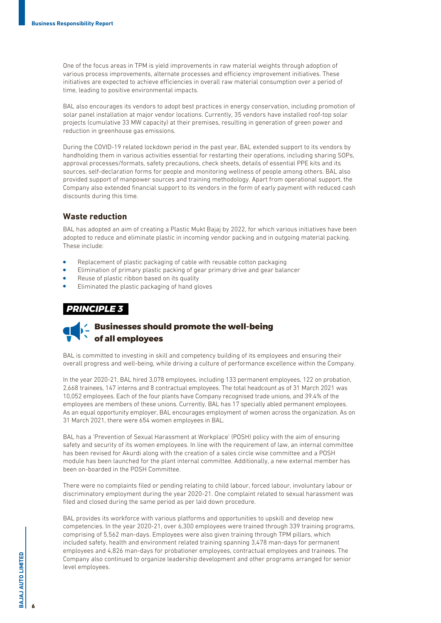One of the focus areas in TPM is yield improvements in raw material weights through adoption of various process improvements, alternate processes and efficiency improvement initiatives. These initiatives are expected to achieve efficiencies in overall raw material consumption over a period of time, leading to positive environmental impacts.

BAL also encourages its vendors to adopt best practices in energy conservation, including promotion of solar panel installation at major vendor locations. Currently, 35 vendors have installed roof-top solar projects (cumulative 33 MW capacity) at their premises, resulting in generation of green power and reduction in greenhouse gas emissions.

During the COVID-19 related lockdown period in the past year, BAL extended support to its vendors by handholding them in various activities essential for restarting their operations, including sharing SOPs, approval processes/formats, safety precautions, check sheets, details of essential PPE kits and its sources, self-declaration forms for people and monitoring wellness of people among others. BAL also provided support of manpower sources and training methodology. Apart from operational support, the Company also extended financial support to its vendors in the form of early payment with reduced cash discounts during this time.

### **Waste reduction**

BAL has adopted an aim of creating a Plastic Mukt Bajaj by 2022, for which various initiatives have been adopted to reduce and eliminate plastic in incoming vendor packing and in outgoing material packing. These include:

- Replacement of plastic packaging of cable with reusable cotton packaging
- Elimination of primary plastic packing of gear primary drive and gear balancer
- Reuse of plastic ribbon based on its quality
- Eliminated the plastic packaging of hand gloves

### *PRINCIPLE 3*

## **Businesses should promote the well-being of all employees**

BAL is committed to investing in skill and competency building of its employees and ensuring their overall progress and well-being, while driving a culture of performance excellence within the Company.

In the year 2020-21, BAL hired 3,078 employees, including 133 permanent employees, 122 on probation, 2,668 trainees, 147 interns and 8 contractual employees. The total headcount as of 31 March 2021 was 10,052 employees. Each of the four plants have Company recognised trade unions, and 39.4% of the employees are members of these unions. Currently, BAL has 17 specially abled permanent employees. As an equal opportunity employer, BAL encourages employment of women across the organization. As on 31 March 2021, there were 654 women employees in BAL.

BAL has a 'Prevention of Sexual Harassment at Workplace' (POSH) policy with the aim of ensuring safety and security of its women employees. In line with the requirement of law, an internal committee has been revised for Akurdi along with the creation of a sales circle wise committee and a POSH module has been launched for the plant internal committee. Additionally, a new external member has been on-boarded in the POSH Committee.

There were no complaints filed or pending relating to child labour, forced labour, involuntary labour or discriminatory employment during the year 2020-21. One complaint related to sexual harassment was filed and closed during the same period as per laid down procedure.

BAL provides its workforce with various platforms and opportunities to upskill and develop new competencies. In the year 2020-21, over 6,300 employees were trained through 339 training programs, comprising of 5,562 man-days. Employees were also given training through TPM pillars, which included safety, health and environment related training spanning 3,478 man-days for permanent employees and 4,826 man-days for probationer employees, contractual employees and trainees. The Company also continued to organize leadership development and other programs arranged for senior level employees.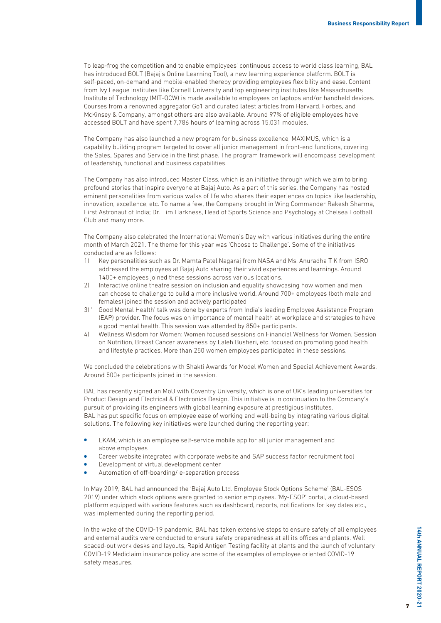To leap-frog the competition and to enable employees' continuous access to world class learning, BAL has introduced BOLT (Bajaj's Online Learning Tool), a new learning experience platform. BOLT is self-paced, on-demand and mobile-enabled thereby providing employees flexibility and ease. Content from Ivy League institutes like Cornell University and top engineering institutes like Massachusetts Institute of Technology (MIT-OCW) is made available to employees on laptops and/or handheld devices. Courses from a renowned aggregator Go1 and curated latest articles from Harvard, Forbes, and McKinsey & Company, amongst others are also available. Around 97% of eligible employees have accessed BOLT and have spent 7,786 hours of learning across 15,031 modules.

The Company has also launched a new program for business excellence, MAXIMUS, which is a capability building program targeted to cover all junior management in front-end functions, covering the Sales, Spares and Service in the first phase. The program framework will encompass development of leadership, functional and business capabilities.

The Company has also introduced Master Class, which is an initiative through which we aim to bring profound stories that inspire everyone at Bajaj Auto. As a part of this series, the Company has hosted eminent personalities from various walks of life who shares their experiences on topics like leadership, innovation, excellence, etc. To name a few, the Company brought in Wing Commander Rakesh Sharma, First Astronaut of India; Dr. Tim Harkness, Head of Sports Science and Psychology at Chelsea Football Club and many more.

The Company also celebrated the International Women's Day with various initiatives during the entire month of March 2021. The theme for this year was 'Choose to Challenge'. Some of the initiatives conducted are as follows:

- 1) Key personalities such as Dr. Mamta Patel Nagaraj from NASA and Ms. Anuradha T K from ISRO addressed the employees at Bajaj Auto sharing their vivid experiences and learnings. Around 1400+ employees joined these sessions across various locations.
- 2) Interactive online theatre session on inclusion and equality showcasing how women and men can choose to challenge to build a more inclusive world. Around 700+ employees (both male and females) joined the session and actively participated
- 3) ' Good Mental Health' talk was done by experts from India's leading Employee Assistance Program (EAP) provider. The focus was on importance of mental health at workplace and strategies to have a good mental health. This session was attended by 850+ participants.
- 4) Wellness Wisdom for Women: Women focused sessions on Financial Wellness for Women, Session on Nutrition, Breast Cancer awareness by Laleh Busheri, etc. focused on promoting good health and lifestyle practices. More than 250 women employees participated in these sessions.

We concluded the celebrations with Shakti Awards for Model Women and Special Achievement Awards. Around 500+ participants joined in the session.

BAL has recently signed an MoU with Coventry University, which is one of UK's leading universities for Product Design and Electrical & Electronics Design. This initiative is in continuation to the Company's pursuit of providing its engineers with global learning exposure at prestigious institutes. BAL has put specific focus on employee ease of working and well-being by integrating various digital solutions. The following key initiatives were launched during the reporting year:

- EKAM, which is an employee self-service mobile app for all junior management and above employees
- Career website integrated with corporate website and SAP success factor recruitment tool
- Development of virtual development center
- Automation of off-boarding/ e-separation process

In May 2019, BAL had announced the 'Bajaj Auto Ltd. Employee Stock Options Scheme' (BAL-ESOS 2019) under which stock options were granted to senior employees. 'My-ESOP' portal, a cloud-based platform equipped with various features such as dashboard, reports, notifications for key dates etc., was implemented during the reporting period.

In the wake of the COVID-19 pandemic, BAL has taken extensive steps to ensure safety of all employees and external audits were conducted to ensure safety preparedness at all its offices and plants. Well spaced-out work desks and layouts, Rapid Antigen Testing facility at plants and the launch of voluntary COVID-19 Mediclaim insurance policy are some of the examples of employee oriented COVID-19 safety measures.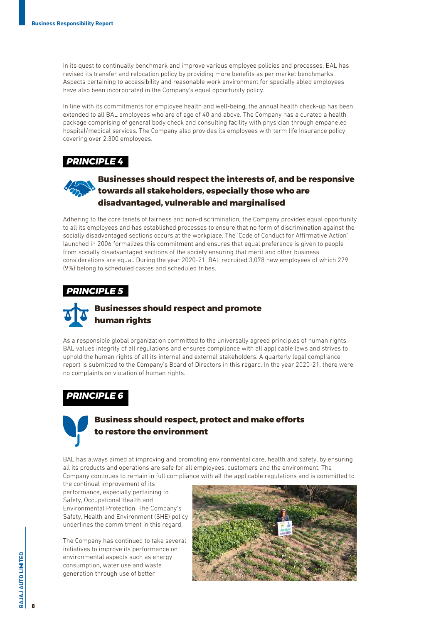In its quest to continually benchmark and improve various employee policies and processes, BAL has revised its transfer and relocation policy by providing more benefits as per market benchmarks. Aspects pertaining to accessibility and reasonable work environment for specially abled employees have also been incorporated in the Company's equal opportunity policy.

In line with its commitments for employee health and well-being, the annual health check-up has been extended to all BAL employees who are of age of 40 and above. The Company has a curated a health package comprising of general body check and consulting facility with physician through empaneled hospital/medical services. The Company also provides its employees with term life Insurance policy covering over 2,300 employees.

## *PRINCIPLE 4*

## **Businesses should respect the interests of, and be responsive towards all stakeholders, especially those who are disadvantaged, vulnerable and marginalised**

Adhering to the core tenets of fairness and non-discrimination, the Company provides equal opportunity to all its employees and has established processes to ensure that no form of discrimination against the socially disadvantaged sections occurs at the workplace. The 'Code of Conduct for Affirmative Action' launched in 2006 formalizes this commitment and ensures that equal preference is given to people from socially disadvantaged sections of the society ensuring that merit and other business considerations are equal. During the year 2020-21, BAL recruited 3,078 new employees of which 279 (9%) belong to scheduled castes and scheduled tribes.

### *PRINCIPLE 5*



As a responsible global organization committed to the universally agreed principles of human rights, BAL values integrity of all regulations and ensures compliance with all applicable laws and strives to uphold the human rights of all its internal and external stakeholders. A quarterly legal compliance report is submitted to the Company's Board of Directors in this regard. In the year 2020-21, there were no complaints on violation of human rights.

## *PRINCIPLE 6*



## **Business should respect, protect and make efforts to restore the environment**

BAL has always aimed at improving and promoting environmental care, health and safety, by ensuring all its products and operations are safe for all employees, customers and the environment. The Company continues to remain in full compliance with all the applicable regulations and is committed to

the continual improvement of its performance, especially pertaining to Safety, Occupational Health and Environmental Protection. The Company's Safety, Health and Environment (SHE) policy underlines the commitment in this regard.

The Company has continued to take several initiatives to improve its performance on environmental aspects such as energy consumption, water use and waste generation through use of better



8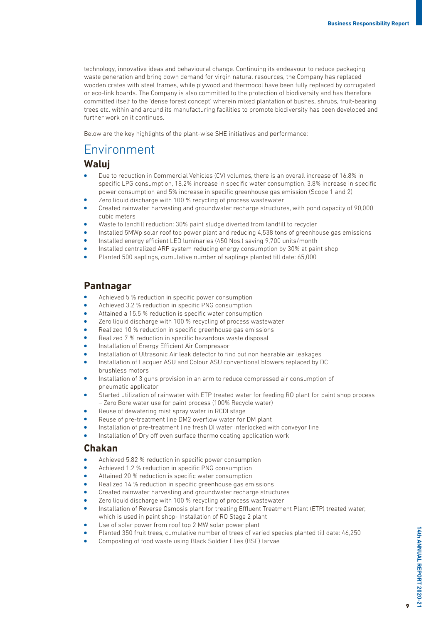technology, innovative ideas and behavioural change. Continuing its endeavour to reduce packaging waste generation and bring down demand for virgin natural resources, the Company has replaced wooden crates with steel frames, while plywood and thermocol have been fully replaced by corrugated or eco-link boards. The Company is also committed to the protection of biodiversity and has therefore committed itself to the 'dense forest concept' wherein mixed plantation of bushes, shrubs, fruit-bearing trees etc. within and around its manufacturing facilities to promote biodiversity has been developed and further work on it continues.

Below are the key highlights of the plant-wise SHE initiatives and performance:

## Environment

## **Waluj**

- Due to reduction in Commercial Vehicles (CV) volumes, there is an overall increase of 16.8% in specific LPG consumption, 18.2% increase in specific water consumption, 3.8% increase in specific power consumption and 5% increase in specific greenhouse gas emission (Scope 1 and 2)
- <sup>l</sup> Zero liquid discharge with 100 % recycling of process wastewater
- <sup>l</sup> Created rainwater harvesting and groundwater recharge structures, with pond capacity of 90,000 cubic meters
- <sup>l</sup> Waste to landfill reduction: 30% paint sludge diverted from landfill to recycler
- <sup>l</sup> Installed 5MWp solar roof top power plant and reducing 4,538 tons of greenhouse gas emissions
- <sup>l</sup> Installed energy efficient LED luminaries (450 Nos.) saving 9,700 units/month
- <sup>l</sup> Installed centralized ARP system reducing energy consumption by 30% at paint shop
- <sup>l</sup> Planted 500 saplings, cumulative number of saplings planted till date: 65,000

## **Pantnagar**

- <sup>l</sup> Achieved 5 % reduction in specific power consumption
- Achieved 3.2 % reduction in specific PNG consumption
- Attained a 15.5 % reduction is specific water consumption
- Zero liquid discharge with 100 % recycling of process wastewater
- Realized 10 % reduction in specific greenhouse gas emissions
- Realized 7 % reduction in specific hazardous waste disposal
- Installation of Energy Efficient Air Compressor
- <sup>l</sup> Installation of Ultrasonic Air leak detector to find out non hearable air leakages
- Installation of Lacquer ASU and Colour ASU conventional blowers replaced by DC brushless motors
- Installation of 3 guns provision in an arm to reduce compressed air consumption of pneumatic applicator
- Started utilization of rainwater with ETP treated water for feeding RO plant for paint shop process – Zero Bore water use for paint process (100% Recycle water)
- Reuse of dewatering mist spray water in RCDI stage
- Reuse of pre-treatment line DM2 overflow water for DM plant
- Installation of pre-treatment line fresh DI water interlocked with conveyor line
- Installation of Dry off oven surface thermo coating application work

## **Chakan**

- Achieved 5.82 % reduction in specific power consumption
- Achieved 1.2 % reduction in specific PNG consumption
- Attained 20 % reduction is specific water consumption
- Realized 14 % reduction in specific greenhouse gas emissions
- <sup>l</sup> Created rainwater harvesting and groundwater recharge structures
- Zero liquid discharge with 100 % recycling of process wastewater
- <sup>l</sup> Installation of Reverse Osmosis plant for treating Effluent Treatment Plant (ETP) treated water, which is used in paint shop- Installation of RO Stage 2 plant
- Use of solar power from roof top 2 MW solar power plant
- <sup>l</sup> Planted 350 fruit trees, cumulative number of trees of varied species planted till date: 46,250
- Composting of food waste using Black Soldier Flies (BSF) larvae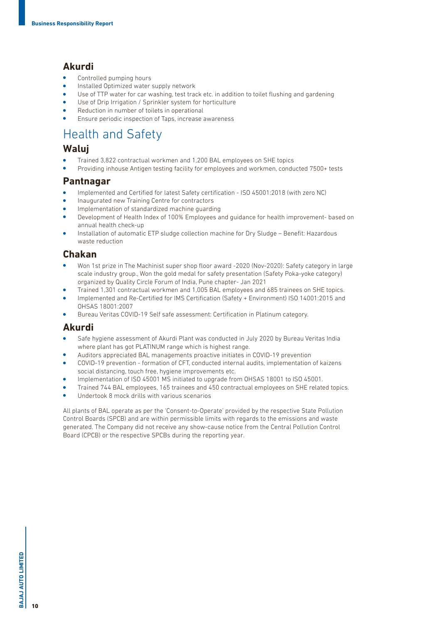## **Akurdi**

- Controlled pumping hours
- Installed Optimized water supply network
- <sup>l</sup> Use of TTP water for car washing, test track etc. in addition to toilet flushing and gardening
- Use of Drip Irrigation / Sprinkler system for horticulture
- Reduction in number of toilets in operational
- Ensure periodic inspection of Taps, increase awareness

## Health and Safety

## **Waluj**

- <sup>l</sup> Trained 3,822 contractual workmen and 1,200 BAL employees on SHE topics
- <sup>l</sup> Providing inhouse Antigen testing facility for employees and workmen, conducted 7500+ tests

### **Pantnagar**

- <sup>l</sup> Implemented and Certified for latest Safety certification ISO 45001:2018 (with zero NC)
- Inaugurated new Training Centre for contractors
- Implementation of standardized machine quarding
- <sup>l</sup> Development of Health Index of 100% Employees and guidance for health improvement- based on annual health check-up
- <sup>l</sup> Installation of automatic ETP sludge collection machine for Dry Sludge Benefit: Hazardous waste reduction

## **Chakan**

- <sup>l</sup> Won 1st prize in The Machinist super shop floor award -2020 (Nov-2020): Safety category in large scale industry group., Won the gold medal for safety presentation (Safety Poka-yoke category) organized by Quality Circle Forum of India, Pune chapter- Jan 2021
- <sup>l</sup> Trained 1,301 contractual workmen and 1,005 BAL employees and 685 trainees on SHE topics.
- <sup>l</sup> Implemented and Re-Certified for IMS Certification (Safety + Environment) ISO 14001:2015 and OHSAS 18001:2007
- <sup>l</sup> Bureau Veritas COVID-19 Self safe assessment: Certification in Platinum category.

## **Akurdi**

- <sup>l</sup> Safe hygiene assessment of Akurdi Plant was conducted in July 2020 by Bureau Veritas India where plant has got PLATINUM range which is highest range.
- <sup>l</sup> Auditors appreciated BAL managements proactive initiates in COVID-19 prevention
- <sup>l</sup> COVID-19 prevention formation of CFT, conducted internal audits, implementation of kaizens social distancing, touch free, hygiene improvements etc.
- Implementation of ISO 45001 MS initiated to upgrade from OHSAS 18001 to ISO 45001.
- <sup>l</sup> Trained 744 BAL employees, 165 trainees and 450 contractual employees on SHE related topics.
- <sup>l</sup> Undertook 8 mock drills with various scenarios

All plants of BAL operate as per the 'Consent-to-Operate' provided by the respective State Pollution Control Boards (SPCB) and are within permissible limits with regards to the emissions and waste generated. The Company did not receive any show-cause notice from the Central Pollution Control Board (CPCB) or the respective SPCBs during the reporting year.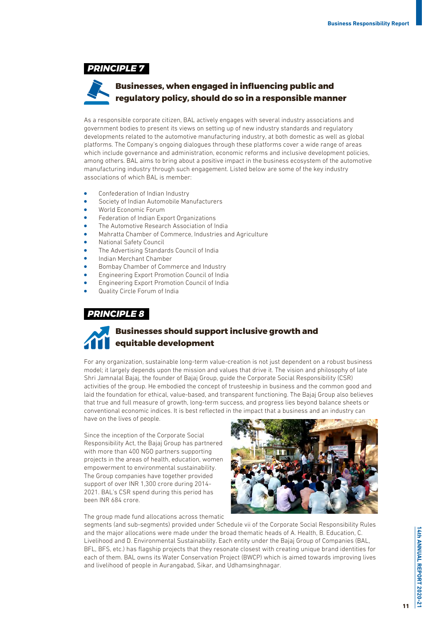*PRINCIPLE 7*

## **Businesses, when engaged in influencing public and regulatory policy, should do so in a responsible manner**

As a responsible corporate citizen, BAL actively engages with several industry associations and government bodies to present its views on setting up of new industry standards and regulatory developments related to the automotive manufacturing industry, at both domestic as well as global platforms. The Company's ongoing dialogues through these platforms cover a wide range of areas which include governance and administration, economic reforms and inclusive development policies, among others. BAL aims to bring about a positive impact in the business ecosystem of the automotive manufacturing industry through such engagement. Listed below are some of the key industry associations of which BAL is member:

- Confederation of Indian Industry
- Society of Indian Automobile Manufacturers
- World Economic Forum
- Federation of Indian Export Organizations
- The Automotive Research Association of India
- <sup>l</sup> Mahratta Chamber of Commerce, Industries and Agriculture
- **National Safety Council**
- The Advertising Standards Council of India
- <sup>l</sup> Indian Merchant Chamber
- <sup>l</sup> Bombay Chamber of Commerce and Industry
- <sup>l</sup> Engineering Export Promotion Council of India
- <sup>l</sup> Engineering Export Promotion Council of India
- Quality Circle Forum of India

### *PRINCIPLE 8*



For any organization, sustainable long-term value-creation is not just dependent on a robust business model; it largely depends upon the mission and values that drive it. The vision and philosophy of late Shri Jamnalal Bajaj, the founder of Bajaj Group, guide the Corporate Social Responsibility (CSR) activities of the group. He embodied the concept of trusteeship in business and the common good and laid the foundation for ethical, value-based, and transparent functioning. The Bajaj Group also believes that true and full measure of growth, long-term success, and progress lies beyond balance sheets or conventional economic indices. It is best reflected in the impact that a business and an industry can have on the lives of people.

Since the inception of the Corporate Social Responsibility Act, the Bajaj Group has partnered with more than 400 NGO partners supporting projects in the areas of health, education, women empowerment to environmental sustainability. The Group companies have together provided support of over INR 1,300 crore during 2014- 2021. BAL's CSR spend during this period has been INR 684 crore.



The group made fund allocations across thematic

segments (and sub-segments) provided under Schedule vii of the Corporate Social Responsibility Rules and the major allocations were made under the broad thematic heads of A. Health, B. Education, C. Livelihood and D. Environmental Sustainability. Each entity under the Bajaj Group of Companies (BAL, BFL, BFS, etc.) has flagship projects that they resonate closest with creating unique brand identities for each of them. BAL owns its Water Conservation Project (BWCP) which is aimed towards improving lives and livelihood of people in Aurangabad, Sikar, and Udhamsinghnagar.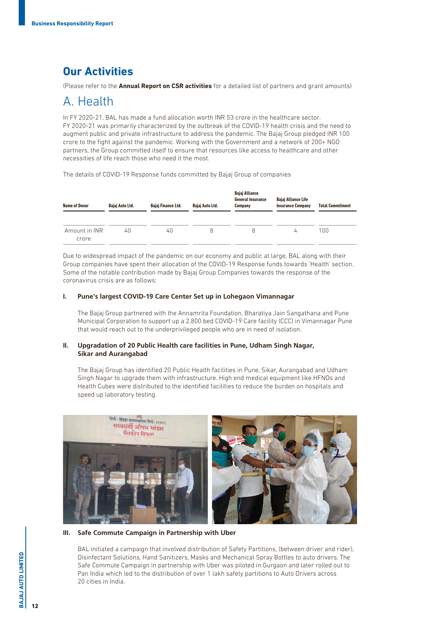## **Our Activities**

(Please refer to the **Annual Report on CSR activities** for a detailed list of partners and grant amounts)

## A. Health

In FY 2020-21, BAL has made a fund allocation worth INR 53 crore in the healthcare sector. FY 2020-21 was primarily characterized by the outbreak of the COVID-19 health crisis and the need to augment public and private infrastructure to address the pandemic. The Bajaj Group pledged INR 100 crore to the fight against the pandemic. Working with the Government and a network of 200+ NGO partners, the Group committed itself to ensure that resources like access to healthcare and other necessities of life reach those who need it the most.

The details of COVID-19 Response funds committed by Bajaj Group of companies

| <b>Name of Donor</b>   | Bajaj Auto Ltd. | Bajaj Finance Ltd. | Bajaj Auto Ltd. | Bajaj Alliance<br><b>General Insurance</b><br>Company | Bajaj Alliance Life<br><b>Insurance Company</b> | <b>Total Commitment</b> |
|------------------------|-----------------|--------------------|-----------------|-------------------------------------------------------|-------------------------------------------------|-------------------------|
| Amount in INR<br>crore | 40              | 40                 | 8               | 8                                                     | 4                                               | 100                     |

Due to widespread impact of the pandemic on our economy and public at large, BAL along with their Group companies have spent their allocation of the COVID-19 Response funds towards 'Health' section. Some of the notable contribution made by Bajaj Group Companies towards the response of the coronavirus crisis are as follows:

### **I. Pune's largest COVID-19 Care Center Set up in Lohegaon Vimannagar**

The Bajaj Group partnered with the Annamrita Foundation, Bharatiya Jain Sangathana and Pune Municipal Corporation to support up a 2,800 bed COVID-19 Care facility (CCC) in Vimannagar Pune that would reach out to the underprivileged people who are in need of isolation.

### **II. Upgradation of 20 Public Health care facilities in Pune, Udham Singh Nagar, Sikar and Aurangabad**

The Bajaj Group has identified 20 Public Health facilities in Pune, Sikar, Aurangabad and Udham Singh Nagar to upgrade them with infrastructure. High end medical equipment like HFNOs and Health Cubes were distributed to the identified facilities to reduce the burden on hospitals and speed up laboratory testing.



#### **III. Safe Commute Campaign in Partnership with Uber**

BAL initiated a campaign that involved distribution of Safety Partitions, (between driver and rider), Disinfectant Solutions, Hand Sanitizers, Masks and Mechanical Spray Bottles to auto drivers. The Safe Commute Campaign in partnership with Uber was piloted in Gurgaon and later rolled out to Pan India which led to the distribution of over 1 lakh safety partitions to Auto Drivers across 20 cities in India.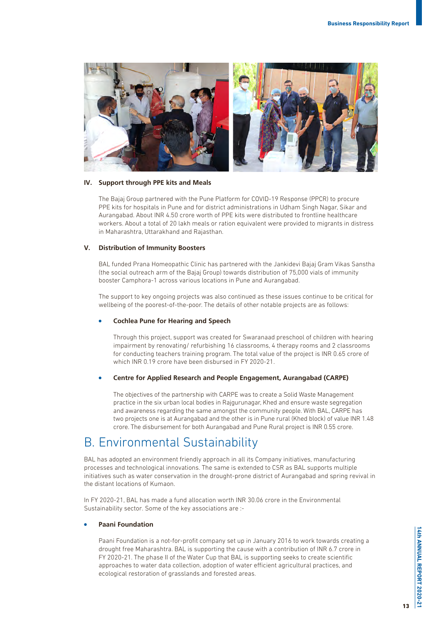

#### **IV. Support through PPE kits and Meals**

The Bajaj Group partnered with the Pune Platform for COVID-19 Response (PPCR) to procure PPE kits for hospitals in Pune and for district administrations in Udham Singh Nagar, Sikar and Aurangabad. About INR 4.50 crore worth of PPE kits were distributed to frontline healthcare workers. About a total of 20 lakh meals or ration equivalent were provided to migrants in distress in Maharashtra, Uttarakhand and Rajasthan.

### **V. Distribution of Immunity Boosters**

BAL funded Prana Homeopathic Clinic has partnered with the Jankidevi Bajaj Gram Vikas Sanstha (the social outreach arm of the Bajaj Group) towards distribution of 75,000 vials of immunity booster Camphora-1 across various locations in Pune and Aurangabad.

The support to key ongoing projects was also continued as these issues continue to be critical for wellbeing of the poorest-of-the-poor. The details of other notable projects are as follows:

### <sup>l</sup> **Cochlea Pune for Hearing and Speech**

Through this project, support was created for Swaranaad preschool of children with hearing impairment by renovating/ refurbishing 16 classrooms, 4 therapy rooms and 2 classrooms for conducting teachers training program. The total value of the project is INR 0.65 crore of which INR 0.19 crore have been disbursed in FY 2020-21.

### <sup>l</sup> **Centre for Applied Research and People Engagement, Aurangabad (CARPE)**

The objectives of the partnership with CARPE was to create a Solid Waste Management practice in the six urban local bodies in Rajgurunagar, Khed and ensure waste segregation and awareness regarding the same amongst the community people. With BAL, CARPE has two projects one is at Aurangabad and the other is in Pune rural (Khed block) of value INR 1.48 crore. The disbursement for both Aurangabad and Pune Rural project is INR 0.55 crore.

## B. Environmental Sustainability

BAL has adopted an environment friendly approach in all its Company initiatives, manufacturing processes and technological innovations. The same is extended to CSR as BAL supports multiple initiatives such as water conservation in the drought-prone district of Aurangabad and spring revival in the distant locations of Kumaon.

In FY 2020-21, BAL has made a fund allocation worth INR 30.06 crore in the Environmental Sustainability sector. Some of the key associations are :-

### <sup>l</sup> **Paani Foundation**

Paani Foundation is a not-for-profit company set up in January 2016 to work towards creating a drought free Maharashtra. BAL is supporting the cause with a contribution of INR 6.7 crore in FY 2020-21. The phase II of the Water Cup that BAL is supporting seeks to create scientific approaches to water data collection, adoption of water efficient agricultural practices, and ecological restoration of grasslands and forested areas.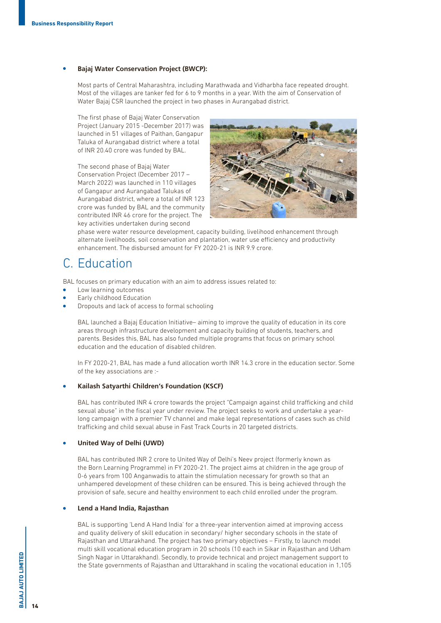### <sup>l</sup> **Bajaj Water Conservation Project (BWCP):**

Most parts of Central Maharashtra, including Marathwada and Vidharbha face repeated drought. Most of the villages are tanker fed for 6 to 9 months in a year. With the aim of Conservation of Water Bajaj CSR launched the project in two phases in Aurangabad district.

The first phase of Bajaj Water Conservation Project (January 2015 -December 2017) was launched in 51 villages of Paithan, Gangapur Taluka of Aurangabad district where a total of INR 20.40 crore was funded by BAL.

The second phase of Bajaj Water Conservation Project (December 2017 – March 2022) was launched in 110 villages of Gangapur and Aurangabad Talukas of Aurangabad district, where a total of INR 123 crore was funded by BAL and the community contributed INR 46 crore for the project. The key activities undertaken during second



phase were water resource development, capacity building, livelihood enhancement through alternate livelihoods, soil conservation and plantation, water use efficiency and productivity enhancement. The disbursed amount for FY 2020-21 is INR 9.9 crore.

## C. Education

BAL focuses on primary education with an aim to address issues related to:

- Low learning outcomes
- Early childhood Education
- <sup>l</sup> Dropouts and lack of access to formal schooling

BAL launched a Bajaj Education Initiative– aiming to improve the quality of education in its core areas through infrastructure development and capacity building of students, teachers, and parents. Besides this, BAL has also funded multiple programs that focus on primary school education and the education of disabled children.

In FY 2020-21, BAL has made a fund allocation worth INR 14.3 crore in the education sector. Some of the key associations are :-

### <sup>l</sup> **Kailash Satyarthi Children's Foundation (KSCF)**

BAL has contributed INR 4 crore towards the project "Campaign against child trafficking and child sexual abuse" in the fiscal year under review. The project seeks to work and undertake a yearlong campaign with a premier TV channel and make legal representations of cases such as child trafficking and child sexual abuse in Fast Track Courts in 20 targeted districts.

#### <sup>l</sup> **United Way of Delhi (UWD)**

BAL has contributed INR 2 crore to United Way of Delhi's Neev project (formerly known as the Born Learning Programme) in FY 2020-21. The project aims at children in the age group of 0-6 years from 100 Anganwadis to attain the stimulation necessary for growth so that an unhampered development of these children can be ensured. This is being achieved through the provision of safe, secure and healthy environment to each child enrolled under the program.

#### <sup>l</sup> **Lend a Hand India, Rajasthan**

BAL is supporting 'Lend A Hand India' for a three-year intervention aimed at improving access and quality delivery of skill education in secondary/ higher secondary schools in the state of Rajasthan and Uttarakhand. The project has two primary objectives – Firstly, to launch model multi skill vocational education program in 20 schools (10 each in Sikar in Rajasthan and Udham Singh Nagar in Uttarakhand). Secondly, to provide technical and project management support to the State governments of Rajasthan and Uttarakhand in scaling the vocational education in 1,105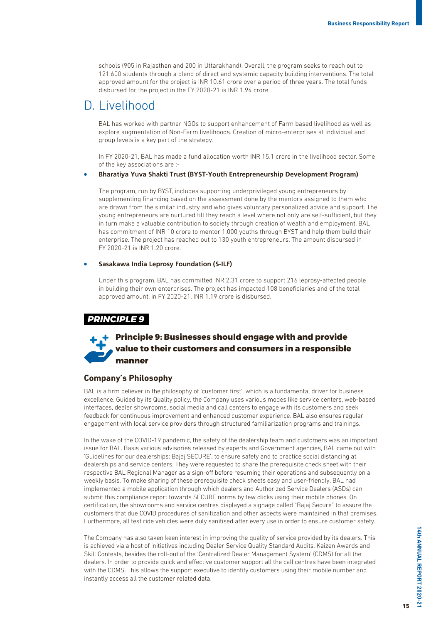schools (905 in Rajasthan and 200 in Uttarakhand). Overall, the program seeks to reach out to 121,600 students through a blend of direct and systemic capacity building interventions. The total approved amount for the project is INR 10.61 crore over a period of three years. The total funds disbursed for the project in the FY 2020-21 is INR 1.94 crore.

## D. Livelihood

BAL has worked with partner NGOs to support enhancement of Farm based livelihood as well as explore augmentation of Non-Farm livelihoods. Creation of micro-enterprises at individual and group levels is a key part of the strategy.

In FY 2020-21, BAL has made a fund allocation worth INR 15.1 crore in the livelihood sector. Some of the key associations are :-

#### <sup>l</sup> **Bharatiya Yuva Shakti Trust (BYST-Youth Entrepreneurship Development Program)**

The program, run by BYST, includes supporting underprivileged young entrepreneurs by supplementing financing based on the assessment done by the mentors assigned to them who are drawn from the similar industry and who gives voluntary personalized advice and support. The young entrepreneurs are nurtured till they reach a level where not only are self-sufficient, but they in turn make a valuable contribution to society through creation of wealth and employment. BAL has commitment of INR 10 crore to mentor 1,000 youths through BYST and help them build their enterprise. The project has reached out to 130 youth entrepreneurs. The amount disbursed in FY 2020-21 is INR 1.20 crore.

### <sup>l</sup> **Sasakawa India Leprosy Foundation (S-ILF)**

Under this program, BAL has committed INR 2.31 crore to support 216 leprosy-affected people in building their own enterprises. The project has impacted 108 beneficiaries and of the total approved amount, in FY 2020-21, INR 1.19 crore is disbursed.

### *PRINCIPLE 9*

## **Principle 9: Businesses should engage with and provide value to their customers and consumers in a responsible manner**

### **Company's Philosophy**

BAL is a firm believer in the philosophy of 'customer first', which is a fundamental driver for business excellence. Guided by its Quality policy, the Company uses various modes like service centers, web-based interfaces, dealer showrooms, social media and call centers to engage with its customers and seek feedback for continuous improvement and enhanced customer experience. BAL also ensures regular engagement with local service providers through structured familiarization programs and trainings.

In the wake of the COVID-19 pandemic, the safety of the dealership team and customers was an important issue for BAL. Basis various advisories released by experts and Government agencies, BAL came out with 'Guidelines for our dealerships: Bajaj SECURE', to ensure safety and to practice social distancing at dealerships and service centers. They were requested to share the prerequisite check sheet with their respective BAL Regional Manager as a sign-off before resuming their operations and subsequently on a weekly basis. To make sharing of these prerequisite check sheets easy and user-friendly, BAL had implemented a mobile application through which dealers and Authorized Service Dealers (ASDs) can submit this compliance report towards SECURE norms by few clicks using their mobile phones. On certification, the showrooms and service centres displayed a signage called "Bajaj Secure" to assure the customers that due COVID procedures of sanitization and other aspects were maintained in that premises. Furthermore, all test ride vehicles were duly sanitised after every use in order to ensure customer safety.

The Company has also taken keen interest in improving the quality of service provided by its dealers. This is achieved via a host of initiatives including Dealer Service Quality Standard Audits, Kaizen Awards and Skill Contests, besides the roll-out of the 'Centralized Dealer Management System' (CDMS) for all the dealers. In order to provide quick and effective customer support all the call centres have been integrated with the CDMS. This allows the support executive to identify customers using their mobile number and instantly access all the customer related data.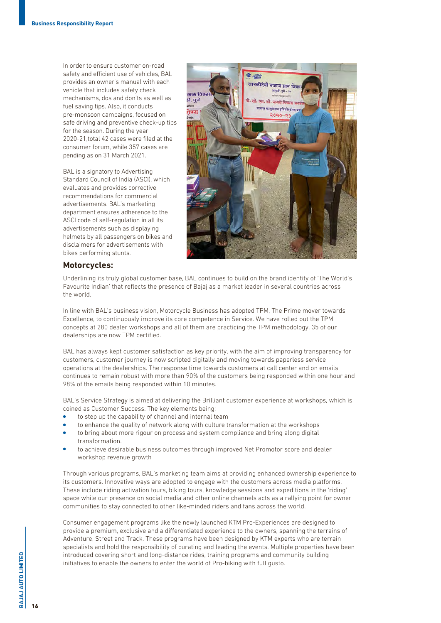In order to ensure customer on-road safety and efficient use of vehicles, BAL provides an owner's manual with each vehicle that includes safety check mechanisms, dos and don'ts as well as fuel saving tips. Also, it conducts pre-monsoon campaigns, focused on safe driving and preventive check-up tips for the season. During the year 2020-21,total 42 cases were filed at the consumer forum, while 357 cases are pending as on 31 March 2021.

BAL is a signatory to Advertising Standard Council of India (ASCI), which evaluates and provides corrective recommendations for commercial advertisements. BAL's marketing department ensures adherence to the ASCI code of self-regulation in all its advertisements such as displaying helmets by all passengers on bikes and disclaimers for advertisements with bikes performing stunts.



### **Motorcycles:**

Underlining its truly global customer base, BAL continues to build on the brand identity of 'The World's Favourite Indian' that reflects the presence of Bajaj as a market leader in several countries across the world.

In line with BAL's business vision, Motorcycle Business has adopted TPM, The Prime mover towards Excellence, to continuously improve its core competence in Service. We have rolled out the TPM concepts at 280 dealer workshops and all of them are practicing the TPM methodology. 35 of our dealerships are now TPM certified.

BAL has always kept customer satisfaction as key priority, with the aim of improving transparency for customers, customer journey is now scripted digitally and moving towards paperless service operations at the dealerships. The response time towards customers at call center and on emails continues to remain robust with more than 90% of the customers being responded within one hour and 98% of the emails being responded within 10 minutes.

BAL's Service Strategy is aimed at delivering the Brilliant customer experience at workshops, which is coined as Customer Success. The key elements being:

- to step up the capability of channel and internal team
- to enhance the quality of network along with culture transformation at the workshops
- to bring about more rigour on process and system compliance and bring along digital transformation.
- to achieve desirable business outcomes through improved Net Promotor score and dealer workshop revenue growth

Through various programs, BAL's marketing team aims at providing enhanced ownership experience to its customers. Innovative ways are adopted to engage with the customers across media platforms. These include riding activation tours, biking tours, knowledge sessions and expeditions in the 'riding' space while our presence on social media and other online channels acts as a rallying point for owner communities to stay connected to other like-minded riders and fans across the world.

Consumer engagement programs like the newly launched KTM Pro-Experiences are designed to provide a premium, exclusive and a differentiated experience to the owners, spanning the terrains of Adventure, Street and Track. These programs have been designed by KTM experts who are terrain specialists and hold the responsibility of curating and leading the events. Multiple properties have been introduced covering short and long-distance rides, training programs and community building initiatives to enable the owners to enter the world of Pro-biking with full gusto.